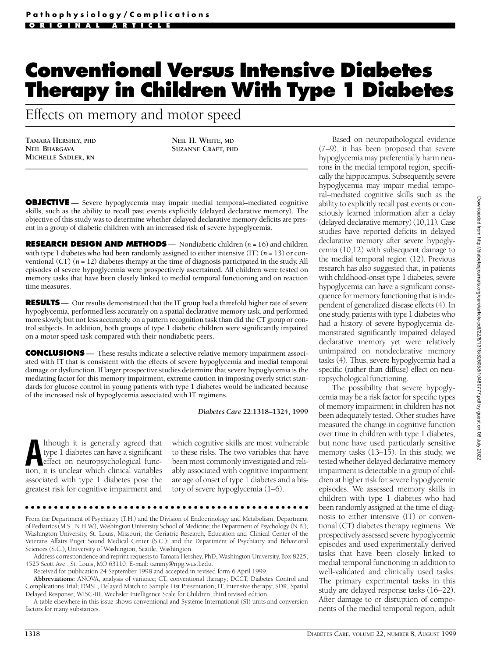# **Conventional Versus Intensive Diabetes Therapy in Children With Type 1 Diabetes**

Effects on memory and motor speed

**TAMARA HERSHEY, PHD NEIL BHARGAVA MICHELLE SADLER, RN**

**NEIL H. WHITE, MD SUZANNE CRAFT, PHD**

**OBJECTIVE** - Severe hypoglycemia may impair medial temporal-mediated cognitive skills, such as the ability to recall past events explicitly (delayed declarative memory). The objective of this study was to determine whether delayed declarative memory deficits are present in a group of diabetic children with an increased risk of severe hypoglycemia.

**RESEARCH DESIGN AND METHODS** — Nondiabetic children (*n* = 16) and children with type 1 diabetes who had been randomly assigned to either intensive (IT) (*n* = 13) or conventional (CT) (*n* = 12) diabetes therapy at the time of diagnosis participated in the study. All episodes of severe hypoglycemia were prospectively ascertained. All children were tested on memory tasks that have been closely linked to medial temporal functioning and on reaction time measures.

**RESULTS** — Our results demonstrated that the IT group had a threefold higher rate of severe hypoglycemia, performed less accurately on a spatial declarative memory task, and performed more slowly, but not less accurately, on a pattern recognition task than did the CT group or control subjects. In addition, both groups of type 1 diabetic children were significantly impaired on a motor speed task compared with their nondiabetic peers.

**CONCLUSIONS** — These results indicate a selective relative memory impairment associated with IT that is consistent with the effects of severe hypoglycemia and medial temporal damage or dysfunction. If larger prospective studies determine that severe hypoglycemia is the mediating factor for this memory impairment, extreme caution in imposing overly strict standards for glucose control in young patients with type 1 diabetes would be indicated because of the increased risk of hypoglycemia associated with IT regimens.

*Diabetes Care* **22:1318–1324, 1999**

Ithough it is generally agreed that<br>type I diabetes can have a significant<br>effect on neuropsychological func-<br>tion, it is unclear which clinical variables lthough it is generally agreed that type 1 diabetes can have a significant e ffect on neuropsychological funcassociated with type 1 diabetes pose the greatest risk for cognitive impairment and

which cognitive skills are most vulnerable to these risks. The two variables that have been most commonly investigated and reliably associated with cognitive impairment are age of onset of type 1 diabetes and a history of severe hypoglycemia  $(1-6)$ .

From the Department of Psychiatry (T.H.) and the Division of Endocrinology and Metabolism, Department of Pediatrics (M.S., N.H.W.), Washington University School of Medicine; the Department of Psychology (N.B.), Washington University, St. Louis, Missouri; the Geriatric Research, Education and Clinical Center of the Veterans Affairs Puget Sound Medical Center (S.C.); and the Department of Psychiatry and Behavioral Sciences (S.C.), University of Washington, Seattle, Washington.

Address correspondence and reprint requests to Tamara Hershey, PhD, Washington University, Box 8225, 4525 Scott Ave., St. Louis, MO 63110. E-mail: tammy@npg.wustl.edu.

Received for publication 24 September 1998 and accepted in revised form 6 April 1999.

Abbreviations: ANOVA, analysis of variance; CT, conventional therapy; DCCT, Diabetes Control and Complications Trial; DMSL, Delayed Match to Sample List Presentation; IT, intensive therapy; SDR, Spatial Delayed Response; WISC-III, Wechsler Intelligence Scale for Children, third revised edition.

A table elsewhere in this issue shows conventional and Système International (SI) units and conversion factors for many substances.

Based on neuropathological evidence (7–9), it has been proposed that severe hypoglycemia may preferentially harm neurons in the medial temporal region, specifically the hippocampus. Subsequently, severe hypoglycemia may impair medial temporal–mediated cognitive skills such as the ability to explicitly recall past events or consciously learned information after a delay (delayed declarative memory) (10,11). Case studies have reported deficits in delayed declarative memory after severe hypoglycemia (10,12) with subsequent damage to the medial temporal region (12). Previous research has also suggested that, in patients with childhood-onset type 1 diabetes, severe hypoglycemia can have a significant consequence for memory functioning that is independent of generalized disease effects (4). In one study, patients with type 1 diabetes who had a history of severe hypoglycemia demonstrated significantly impaired delayed declarative memory yet were relatively unimpaired on nondeclarative memory tasks (4). Thus, severe hypoglycemia had a specific (rather than diffuse) effect on neuropsychological functioning.

The possibility that severe hypoglycemia may be a risk factor for specific types of memory impairment in children has not been adequately tested. Other studies have measured the change in cognitive function over time in children with type 1 diabetes, but none have used particularly sensitive memory tasks  $(13–15)$ . In this study, we tested whether delayed declarative memory impairment is detectable in a group of children at higher risk for severe hypoglycemic episodes. We assessed memory skills in children with type 1 diabetes who had been randomly assigned at the time of diagnosis to either intensive (IT) or conventional (CT) diabetes therapy regimens. We prospectively assessed severe hypoglycemic episodes and used experimentally derived tasks that have been closely linked to medial temporal functioning in addition to well-validated and clinically used tasks. The primary experimental tasks in this study are delayed response tasks (16–22). After damage to or disruption of components of the medial temporal region, adult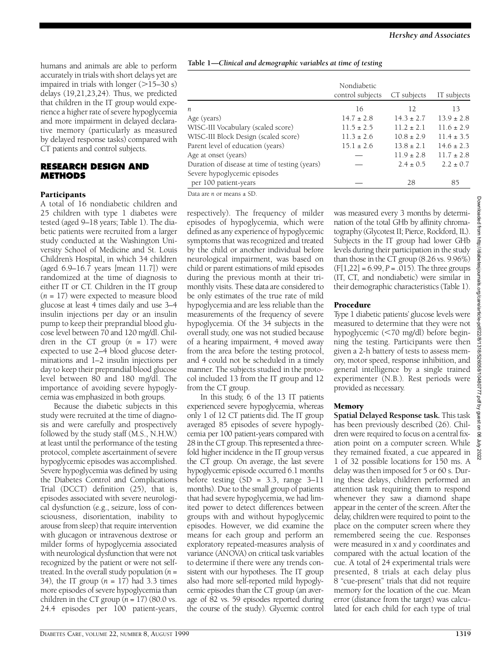humans and animals are able to perform accurately in trials with short delays yet are impaired in trials with longer  $(>15-30 s)$ delays  $(19,21,23,24)$ . Thus, we predicted that children in the IT group would experience a higher rate of severe hypoglycemia and more impairment in delayed declarative memory (particularly as measured by delayed response tasks) compared with CT patients and control subjects.

#### **RESEARCH DESIGN AND M E T H O D S**

#### Participants

A total of 16 nondiabetic children and 25 children with type 1 diabetes were tested (aged 9–18 years; Table 1). The diabetic patients were recruited from a larger study conducted at the Washington University School of Medicine and St. Louis Children's Hospital, in which 34 children (aged 6.9–16.7 years [mean 11.7]) were randomized at the time of diagnosis to either IT or CT. Children in the IT group (*n* = 17) were expected to measure blood glucose at least 4 times daily and use 3–4 insulin injections per day or an insulin pump to keep their preprandial blood glucose level between 70 and 120 mg/dl. Children in the CT group  $(n = 17)$  were expected to use 2–4 blood glucose determinations and 1–2 insulin injections per day to keep their preprandial blood glucose level between 80 and 180 mg/dl. The importance of avoiding severe hypoglycemia was emphasized in both groups.

Because the diabetic subjects in this study were recruited at the time of diagnosis and were carefully and prospectively followed by the study staff (M.S., N.H.W.) at least until the performance of the testing protocol, complete ascertainment of severe hypoglycemic episodes was accomplished. Severe hypoglycemia was defined by using the Diabetes Control and Complications Trial (DCCT) definition (25), that is, episodes associated with severe neurological dysfunction (e.g., seizure, loss of consciousness, disorientation, inability to arouse from sleep) that require intervention with glucagon or intravenous dextrose or milder forms of hypoglycemia associated with neurological dysfunction that were not recognized by the patient or were not selftreated. In the overall study population  $(n =$ 34), the IT group (*n* = 17) had 3.3 times more episodes of severe hypoglycemia than children in the CT group  $(n = 17)$  (80.0 vs.) 24.4 episodes per 100 patient-years,

**Table 1***—Clinical and demographic variables at time of testing*

|                                                | Nondiabetic<br>control subjects | CT subjects    | IT subjects    |
|------------------------------------------------|---------------------------------|----------------|----------------|
| n                                              | 16                              | 12             | 13             |
| Age (years)                                    | $14.7 \pm 2.8$                  | $14.3 \pm 2.7$ | $13.9 \pm 2.8$ |
| WISC-III Vocabulary (scaled score)             | $11.5 \pm 2.5$                  | $11.2 \pm 2.1$ | $11.6 \pm 2.9$ |
| WISC-III Block Design (scaled score)           | $11.3 \pm 2.6$                  | $10.8 \pm 2.9$ | $11.4 \pm 3.5$ |
| Parent level of education (years)              | $15.1 \pm 2.6$                  | $13.8 \pm 2.1$ | $14.6 \pm 2.3$ |
| Age at onset (years)                           |                                 | $11.9 \pm 2.8$ | $11.7 \pm 2.8$ |
| Duration of disease at time of testing (years) |                                 | $2.4 \pm 0.5$  | $2.2 \pm 0.7$  |
| Severe hypoglycemic episodes                   |                                 |                |                |
| per 100 patient-years                          |                                 | 28             | 85             |

Data are *n* or means ± SD.

respectively). The frequency of milder episodes of hypoglycemia, which were defined as any experience of hypoglycemic symptoms that was recognized and treated by the child or another individual before neurological impairment, was based on child or parent estimations of mild episodes during the previous month at their trimonthly visits. These data are considered to be only estimates of the true rate of mild hypoglycemia and are less reliable than the measurements of the frequency of severe hypoglycemia. Of the 34 subjects in the overall study, one was not studied because of a hearing impairment, 4 moved away from the area before the testing protocol, and 4 could not be scheduled in a timely manner. The subjects studied in the protocol included 13 from the IT group and 12 from the CT group.

In this study, 6 of the 13 IT patients experienced severe hypoglycemia, whereas only 1 of 12  $CT$  patients did. The IT group averaged 85 episodes of severe hypoglycemia per 100 patient-years compared with 28 in the CT group. This represented a threefold higher incidence in the IT group versus the CT group. On average, the last severe hypoglycemic episode occurred 6.1 months before testing  $(SD = 3.3, \text{ range } 3-11$ months). Due to the small group of patients that had severe hypoglycemia, we had limited power to detect differences between groups with and without hypoglycemic episodes. However, we did examine the means for each group and perform an exploratory repeated-measures analysis of variance (ANOVA) on critical task variables to determine if there were any trends consistent with our hypotheses. The IT group also had more self-reported mild hypoglycemic episodes than the CT group (an average of 82 vs. 59 episodes reported during the course of the study). Glycemic control was measured every 3 months by determination of the total GHb by affinity chromatography (Glycotest II; Pierce, Rockford, IL). Subjects in the IT group had lower GHb levels during their participation in the study than those in the CT group (8.26 vs. 9.96%)  $(F[1,22] = 6.99, P = .015)$ . The three groups (IT, CT, and nondiabetic) were similar in their demographic characteristics (Table 1).

#### Procedure

Type 1 diabetic patients' glucose levels were measured to determine that they were not hypoglycemic (<70 mg/dl) before beginning the testing. Participants were then given a 2-h battery of tests to assess memory, motor speed, response inhibition, and general intelligence by a single trained experimenter (N.B.). Rest periods were provided as necessary.

# **Memory**

**Spatial Delayed Response task.** This task has been previously described (26). Children were required to focus on a central fixation point on a computer screen. While they remained fixated, a cue appeared in 1 of 32 possible locations for 150 ms. A delay was then imposed for 5 or 60 s. During these delays, children performed an attention task requiring them to respond whenever they saw a diamond shape appear in the center of the screen. After the delay, children were required to point to the place on the computer screen where they remembered seeing the cue. Responses were measured in *x* and *y* coordinates and compared with the actual location of the cue. A total of 24 experimental trials were p resented, 8 trials at each delay plus 8 "cue-present" trials that did not require memory for the location of the cue. Mean error (distance from the target) was calculated for each child for each type of trial

Downloaded from http: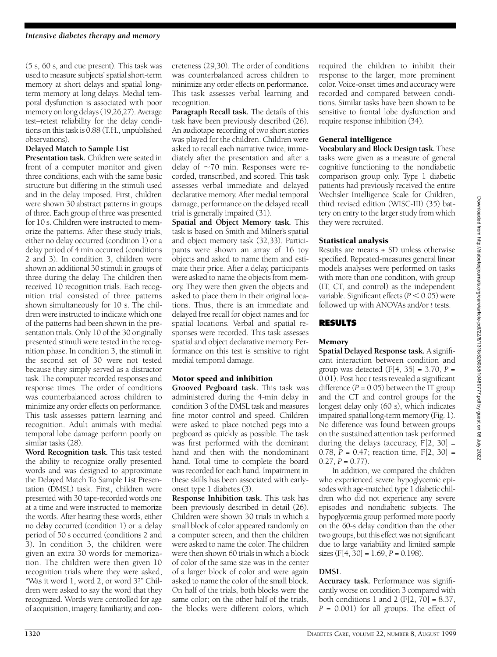(5 s, 60 s, and cue present). This task was used to measure subjects' spatial short-term memory at short delays and spatial longterm memory at long delays. Medial temporal dysfunction is associated with poor memory on long delays (19,26,27). Average test-retest reliability for the delay conditions on this task is 0.88 (T.H., unpublished observations).

#### **Delayed Match to Sample List**

**Presentation task.** Children were seated in front of a computer monitor and given three conditions, each with the same basic structure but differing in the stimuli used and in the delay imposed. First, children were shown 30 abstract patterns in groups of three. Each group of three was presented for 10 s. Children were instructed to memorize the patterns. After these study trials, either no delay occurred (condition 1) or a delay period of 4 min occurred (conditions 2 and 3). In condition 3, children were shown an additional 30 stimuli in groups of three during the delay. The children then received 10 recognition trials. Each recognition trial consisted of three patterns shown simultaneously for 10 s. The children were instructed to indicate which one of the patterns had been shown in the presentation trials. Only 10 of the 30 originally presented stimuli were tested in the recognition phase. In condition 3, the stimuli in the second set of 30 were not tested because they simply served as a distractor task. The computer recorded responses and response times. The order of conditions was counterbalanced across children to minimize any order effects on performance. This task assesses pattern learning and recognition. Adult animals with medial temporal lobe damage perform poorly on similar tasks (28).

Word Recognition task. This task tested the ability to recognize orally presented words and was designed to approximate the Delayed Match To Sample List Presentation (DMSL) task. First, children were presented with 30 tape-recorded words one at a time and were instructed to memorize the words. After hearing these words, either no delay occurred (condition 1) or a delay period of 50 s occurred (conditions 2 and  $3$ ). In condition 3, the children were given an extra 30 words for memorization. The children were then given 10 recognition trials where they were asked, " Was it word 1, word 2, or word 3?" Children were asked to say the word that they recognized. Words were controlled for age of acquisition, imagery, familiarity, and conc reteness (29,30). The order of conditions was counterbalanced across children to minimize any order effects on performance. This task assesses verbal learning and recognition.

**Paragraph Recall task.** The details of this task have been previously described (26). An audiotape recording of two short stories was played for the children. Children were asked to recall each narrative twice, immediately after the presentation and after a delay of  $\sim$ 70 min. Responses were recorded, transcribed, and scored. This task assesses verbal immediate and delayed declarative memory. After medial temporal damage, performance on the delayed recall trial is generally impaired (31).

**Spatial and Object Memory task.** This task is based on Smith and Milner's spatial and object memory task (32,33). Participants were shown an array of 16 toy objects and asked to name them and estimate their price. After a delay, participants were asked to name the objects from memory. They were then given the objects and asked to place them in their original locations. Thus, there is an immediate and delayed free recall for object names and for spatial locations. Verbal and spatial responses were recorded. This task assesses spatial and object declarative memory. Performance on this test is sensitive to right medial temporal damage.

#### Motor speed and inhibition

**Grooved Pegboard task.** This task was administered during the 4-min delay in condition 3 of the DMSL task and measures fine motor control and speed. Children were asked to place notched pegs into a pegboard as quickly as possible. The task was first performed with the dominant hand and then with the nondominant hand. Total time to complete the board was recorded for each hand. Impairment in these skills has been associated with earlyonset type 1 diabetes (3).

**Response Inhibition task.** This task has been previously described in detail (26). Children were shown 30 trials in which a small block of color appeared randomly on a computer screen, and then the children were asked to name the color. The children were then shown 60 trials in which a block of color of the same size was in the center of a larger block of color and were again asked to name the color of the small block. On half of the trials, both blocks were the same color; on the other half of the trials, the blocks were different colors, which

required the children to inhibit their response to the larger, more prominent color. Voice-onset times and accuracy were recorded and compared between conditions. Similar tasks have been shown to be sensitive to frontal lobe dysfunction and require response inhibition (34).

#### General intelligence

**Vocabulary and Block Design task.** These tasks were given as a measure of general cognitive functioning to the nondiabetic comparison group only. Type 1 diabetic patients had previously received the entire Wechsler Intelligence Scale for Children, third revised edition (WISC-III) (35) battery on entry to the larger study from which they were recruited.

#### Statistical analysis

Results are means  $\pm$  SD unless otherwise specified. Repeated-measures general linear models analyses were performed on tasks with more than one condition, with group (IT, CT, and control) as the independent variable. Significant effects  $(P < 0.05)$  were followed up with ANOVAs and/or *t* tests.

#### **R E S U LT S**

#### Memory

**Spatial Delayed Response task.** A significant interaction between condition and group was detected  $(F[4, 35] = 3.70, P =$ 0.01). Post hoc *t* tests revealed a significant difference  $(P = 0.05)$  between the IT group and the CT and control groups for the longest delay only (60 s), which indicates impaired spatial long-term memory (Fig. 1). No difference was found between groups on the sustained attention task performed during the delays (accuracy,  $F[2, 30] =$ 0.78, *P* = 0.47; reaction time, F[2, 30] =  $0.27, P = 0.77$ .

In addition, we compared the children who experienced severe hypoglycemic episodes with age-matched type 1 diabetic children who did not experience any severe episodes and nondiabetic subjects. The hypoglycemia group performed more poorly on the 60-s delay condition than the other two groups, but this effect was not significant due to large variability and limited sample sizes  $(F[4, 30] = 1.69, P = 0.198)$ .

# **DMSL**

Accuracy task. Performance was significantly worse on condition 3 compared with both conditions 1 and 2 ( $F[2, 70] = 8.37$ , *P* = 0.001) for all groups. The effect of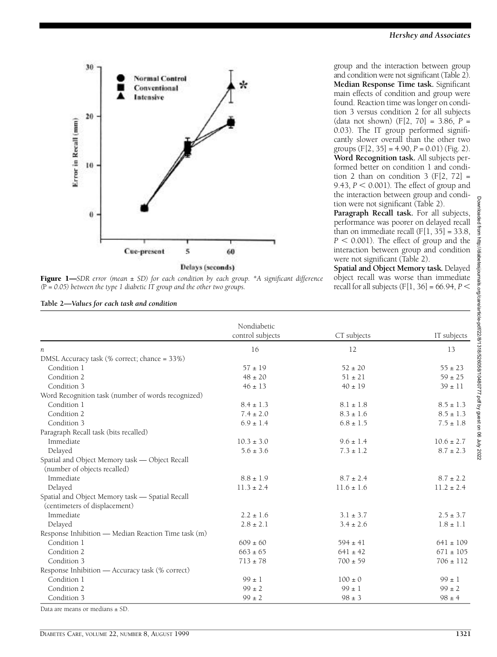



Downloaded from http://diab Downloaded from http://diabetesjournals.org/care/article-pdf/22/8/1318/526058/10480777.pdf by guest on 06 July 2022etesjournals.org/carelarticle-pdf/22/8/1318/526058/10480777.pdf by guest on 06 July 2022

| Table 2—Values for each task and condition |  |  |  |  |  |  |
|--------------------------------------------|--|--|--|--|--|--|
|--------------------------------------------|--|--|--|--|--|--|

group and the interaction between group and condition were not significant (Table 2). **Median Response Time task.** Significant main effects of condition and group were found. Reaction time was longer on condition 3 versus condition 2 for all subjects (data not shown) (F[2, 70] = 3.86, *P* = 0.03). The IT group performed significantly slower overall than the other two groups  $(F[2, 35] = 4.90, P = 0.01)$  (Fig. 2). Word Recognition task. All subjects performed better on condition 1 and condition 2 than on condition 3  $(F[2, 72] =$ 9.43,  $P < 0.001$ ). The effect of group and the interaction between group and condition were not significant (Table 2).

**Paragraph Recall task.** For all subjects, performance was poorer on delayed recall than on immediate recall  $(F[1, 35] = 33.8$ ,  $P < 0.001$ ). The effect of group and the interaction between group and condition were not significant (Table 2).

**Spatial and Object Memory task. Delayed** object recall was worse than immediate recall for all subjects  $(F[1, 36] = 66.94, P <$ 

|                                                     | Nondiabetic<br>control subjects | CT subjects    | IT subjects    |
|-----------------------------------------------------|---------------------------------|----------------|----------------|
| $\boldsymbol{n}$                                    | 16                              | 12             | 13             |
| DMSL Accuracy task (% correct; chance = 33%)        |                                 |                |                |
| Condition 1                                         | $57 \pm 19$                     | $52 \pm 20$    | $55 \pm 23$    |
| Condition 2                                         | $48 \pm 20$                     | $51 \pm 21$    | $59 \pm 25$    |
| Condition 3                                         | $46 \pm 13$                     | $40 \pm 19$    | $39 \pm 11$    |
| Word Recognition task (number of words recognized)  |                                 |                |                |
| Condition 1                                         | $8.4 \pm 1.3$                   | $8.1 \pm 1.8$  | $8.5 \pm 1.3$  |
| Condition 2                                         | $7.4 \pm 2.0$                   | $8.3 \pm 1.6$  | $8.5 \pm 1.3$  |
| Condition 3                                         | $6.9 \pm 1.4$                   | $6.8 \pm 1.5$  | $7.5 \pm 1.8$  |
| Paragraph Recall task (bits recalled)               |                                 |                |                |
| Immediate                                           | $10.3 \pm 3.0$                  | $9.6 \pm 1.4$  | $10.6 \pm 2.7$ |
| Delayed                                             | $5.6 \pm 3.6$                   | $7.3 \pm 1.2$  | $8.7 \pm 2.3$  |
| Spatial and Object Memory task — Object Recall      |                                 |                |                |
| (number of objects recalled)                        |                                 |                |                |
| Immediate                                           | $8.8 \pm 1.9$                   | $8.7 \pm 2.4$  | $8.7 \pm 2.2$  |
| Delayed                                             | $11.3 \pm 2.4$                  | $11.6 \pm 1.6$ | $11.2 \pm 2.4$ |
| Spatial and Object Memory task - Spatial Recall     |                                 |                |                |
| (centimeters of displacement)                       |                                 |                |                |
| <b>Immediate</b>                                    | $2.2 \pm 1.6$                   | $3.1 \pm 3.7$  | $2.5 \pm 3.7$  |
| Delayed                                             | $2.8 \pm 2.1$                   | $3.4 \pm 2.6$  | $1.8 \pm 1.1$  |
| Response Inhibition - Median Reaction Time task (m) |                                 |                |                |
| Condition 1                                         | $609 \pm 60$                    | $594 \pm 41$   | $641 \pm 109$  |
| Condition 2                                         | $663 \pm 65$                    | $641 \pm 42$   | $671 \pm 105$  |
| Condition 3                                         | $713 \pm 78$                    | $700 \pm 59$   | $706 \pm 112$  |
| Response Inhibition - Accuracy task (% correct)     |                                 |                |                |
| Condition 1                                         | $99 \pm 1$                      | $100 \pm 0$    | $99 \pm 1$     |
| Condition 2                                         | $99 \pm 2$                      | $99 \pm 1$     | $99 \pm 2$     |
| Condition 3                                         | $99 \pm 2$                      | $98 \pm 3$     | $98 \pm 4$     |
| Data are means or medians $\pm$ SD.                 |                                 |                |                |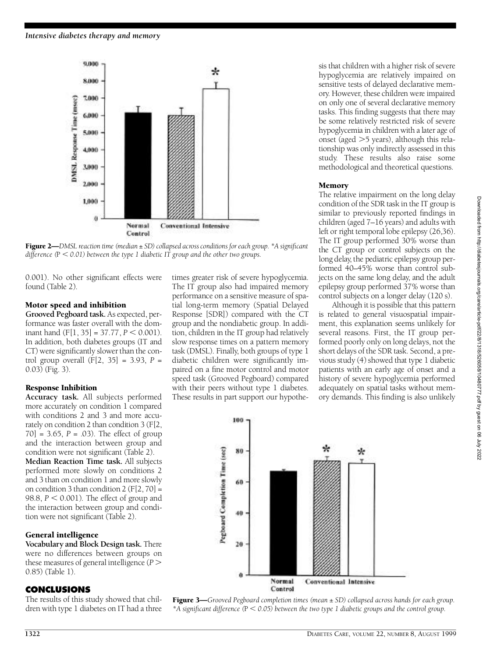

Figure 2—*DMSL reaction time (median*  $\pm$  SD) collapsed across conditions for each group. \*A significant *difference (*P , *0.01) between the type 1 diabetic IT group and the other two groups.*

0.001). No other significant effects were found (Table 2).

#### Motor speed and inhibition

Grooved Pegboard task. As expected, performance was faster overall with the dominant hand  $(F[1, 35] = 37.77, P < 0.001)$ . In addition, both diabetes groups (IT and CT) were significantly slower than the control group overall  $(F[2, 35] = 3.93, P =$ 0.03) (Fig. 3).

#### Response Inhibition

Accuracy task. All subjects performed more accurately on condition 1 compared with conditions 2 and 3 and more accurately on condition 2 than condition 3 (F[2,  $70$ ] = 3.65, *P* = .03). The effect of group and the interaction between group and condition were not significant (Table 2). **Median Reaction Time task.** All subjects performed more slowly on conditions 2 and 3 than on condition 1 and more slowly on condition 3 than condition  $2$  (F[2, 70] = 98.8,  $P < 0.001$ ). The effect of group and the interaction between group and condition were not significant (Table 2).

# General intelligence

**Vocabulary and Block Design task.** There were no differences between groups on these measures of general intelligence (*P* . 0.85) (Table 1).

# **C O N C L U S I O N S**

The results of this study showed that children with type 1 diabetes on IT had a three times greater risk of severe hypoglycemia. The IT group also had impaired memory performance on a sensitive measure of spatial long-term memory (Spatial Delayed Response [SDR]) compared with the CT group and the nondiabetic group. In addition, children in the IT group had relatively slow response times on a pattern memory task (DMSL). Finally, both groups of type 1 diabetic children were significantly impaired on a fine motor control and motor speed task (Grooved Pegboard) compared with their peers without type 1 diabetes. These results in part support our hypothesis that children with a higher risk of severe hypoglycemia are relatively impaired on sensitive tests of delayed declarative memory. However, these children were impaired on only one of several declarative memory tasks. This finding suggests that there may be some relatively restricted risk of severe hypoglycemia in children with a later age of onset (aged  $>5$  years), although this relationship was only indirectly assessed in this study. These results also raise some methodological and theoretical questions.

#### Memory

The relative impairment on the long delay condition of the SDR task in the IT group is similar to previously reported findings in children (aged  $7-16$  years) and adults with left or right temporal lobe epilepsy (26,36). The IT group performed 30% worse than the CT group or control subjects on the long delay, the pediatric epilepsy group performed 40–45% worse than control subjects on the same long delay, and the adult epilepsy group performed 37% worse than control subjects on a longer delay (120 s).

Although it is possible that this pattern is related to general visuospatial impairment, this explanation seems unlikely for several reasons. First, the IT group performed poorly only on long delays, not the short delays of the SDR task. Second, a previous study (4) showed that type 1 diabetic patients with an early age of onset and a history of severe hypoglycemia performed adequately on spatial tasks without memory demands. This finding is also unlikely



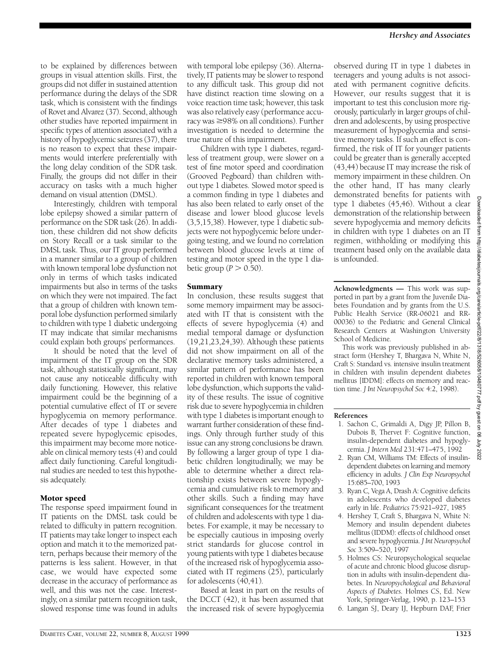to be explained by differences between groups in visual attention skills. First, the g roups did not differ in sustained attention performance during the delays of the SDR task, which is consistent with the findings of Rovet and Alvarez (37). Second, although other studies have reported impairment in specific types of attention associated with a history of hypoglycemic seizures (37), there is no reason to expect that these impairments would interfere preferentially with the long delay condition of the SDR task. Finally, the groups did not differ in their accuracy on tasks with a much higher demand on visual attention (DMSL).

Interestingly, children with temporal lobe epilepsy showed a similar pattern of performance on the SDR task (26). In addition, these children did not show deficits on Story Recall or a task similar to the DMSL task. Thus, our IT group performed in a manner similar to a group of children with known temporal lobe dysfunction not only in terms of which tasks indicated impairments but also in terms of the tasks on which they were not impaired. The fact that a group of children with known temporal lobe dysfunction performed similarly to children with type 1 diabetic undergoing IT may indicate that similar mechanisms could explain both groups' performances.

It should be noted that the level of impairment of the IT group on the SDR task, although statistically significant, may not cause any noticeable difficulty with daily functioning. However, this relative impairment could be the beginning of a potential cumulative effect of IT or severe hypoglycemia on memory performance. After decades of type 1 diabetes and repeated severe hypoglycemic episodes, this impairment may become more noticeable on clinical memory tests (4) and could affect daily functioning. Careful longitudinal studies are needed to test this hypothesis adequately.

#### Motor speed

The response speed impairment found in IT patients on the DMSL task could be related to difficulty in pattern recognition. IT patients may take longer to inspect each option and match it to the memorized pattern, perhaps because their memory of the patterns is less salient. However, in that case, we would have expected some decrease in the accuracy of performance as well, and this was not the case. Interestingly, on a similar pattern recognition task, slowed response time was found in adults with temporal lobe epilepsy (36). Alternatively, IT patients may be slower to respond to any difficult task. This group did not have distinct reaction time slowing on a voice reaction time task; however, this task was also relatively easy (performance accuracy was  $\geq$ 98% on all conditions). Further investigation is needed to determine the true nature of this impairment.

Children with type 1 diabetes, regardless of treatment group, were slower on a test of fine motor speed and coordination (Grooved Pegboard) than children without type 1 diabetes. Slowed motor speed is a common finding in type 1 diabetes and has also been related to early onset of the disease and lower blood glucose levels (3,5,15,38). However, type 1 diabetic subjects were not hypoglycemic before undergoing testing, and we found no correlation between blood glucose levels at time of testing and motor speed in the type 1 diabetic group ( $P > 0.50$ ).

#### Summary

In conclusion, these results suggest that some memory impairment may be associated with IT that is consistent with the e ffects of severe hypoglycemia (4) and medial temporal damage or dysfunction (19,21,23,24,39). Although these patients did not show impairment on all of the declarative memory tasks administered, a similar pattern of performance has been reported in children with known temporal lobe dysfunction, which supports the validity of these results. The issue of cognitive risk due to severe hypoglycemia in children with type 1 diabetes is important enough to warrant further consideration of these findings. Only through further study of this issue can any strong conclusions be drawn. By following a larger group of type 1 diabetic children longitudinally, we may be able to determine whether a direct relationship exists between severe hypoglycemia and cumulative risk to memory and other skills. Such a finding may have significant consequences for the treatment of children and adolescents with type 1 diabetes. For example, it may be necessary to be especially cautious in imposing overly strict standards for glucose control in young patients with type 1 diabetes because of the increased risk of hypoglycemia associated with IT regimens (25), particularly for adolescents (40,41).

Based at least in part on the results of the DCCT (42), it has been assumed that the increased risk of severe hypoglycemia

observed during IT in type 1 diabetes in teenagers and young adults is not associated with permanent cognitive deficits. However, our results suggest that it is important to test this conclusion more rigorously, particularly in larger groups of children and adolescents, by using prospective measurement of hypoglycemia and sensitive memory tasks. If such an effect is confirmed, the risk of IT for younger patients could be greater than is generally accepted (43,44) because IT may increase the risk of memory impairment in these children. On the other hand, IT has many clearly demonstrated benefits for patients with type 1 diabetes (45,46). Without a clear demonstration of the relationship between severe hypoglycemia and memory deficits in children with type 1 diabetes on an IT regimen, withholding or modifying this treatment based only on the available data is unfounded.

**Acknowledgments —** This work was supported in part by a grant from the Juvenile Diabetes Foundation and by grants from the U.S. Public Health Service (RR-06021 and RR-00036) to the Pediatric and General Clinical Research Centers at Washington University School of Medicine.

This work was previously published in abstract form (Hershey T, Bhargava N, White N, Craft S: Standard vs. intensive insulin treatment in children with insulin dependent diabetes mellitus [IDDM]: effects on memory and reaction time. *J Int Neuropsychol Soc* 4:2, 1998).

#### **References**

- 1 . Sachon C, Grimaldi A, Digy JP, Pillon B, Dubois B, Thervet F: Cognitive function, insulin-dependent diabetes and hypoglycemia. *J Intern Med* 231:471–475, 1992
- 2. Ryan CM, Williams TM: Effects of insulindependent diabetes on learning and memory efficiency in adults. *J Clin Exp Neuropsychol* 15:685–700, 1993
- 3. Ryan C, Vega A, Drash A: Cognitive deficits in adolescents who developed diabetes early in life. *Pediatrics* 75:921-927, 1985
- 4 . Hershey T, Craft S, Bhargava N, White N: Memory and insulin dependent diabetes mellitus (IDDM): effects of childhood onset and severe hypoglycemia. *J Int Neuropsychol* Soc 3:509-520, 1997
- 5 . Holmes CS: Neuropsychological sequelae of acute and chronic blood glucose disruption in adults with insulin-dependent diabetes. In *Neuropsychological and Behavioral Aspects of Diabetes*. Holmes CS, Ed. New York, Springer- Verlag, 1990, p. 123–153
- 6 . Langan SJ, Deary IJ, Hepburn DAF, Frier